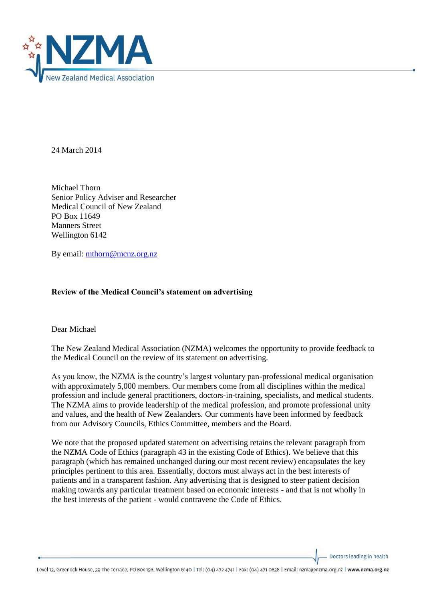

24 March 2014

Michael Thorn Senior Policy Adviser and Researcher Medical Council of New Zealand PO Box 11649 Manners Street Wellington 6142

By email: [mthorn@mcnz.org.nz](mailto:mthorn@mcnz.org.nz)

# **Review of the Medical Council's statement on advertising**

Dear Michael

The New Zealand Medical Association (NZMA) welcomes the opportunity to provide feedback to the Medical Council on the review of its statement on advertising.

As you know, the NZMA is the country's largest voluntary pan-professional medical organisation with approximately 5,000 members. Our members come from all disciplines within the medical profession and include general practitioners, doctors-in-training, specialists, and medical students. The NZMA aims to provide leadership of the medical profession, and promote professional unity and values, and the health of New Zealanders. Our comments have been informed by feedback from our Advisory Councils, Ethics Committee, members and the Board.

We note that the proposed updated statement on advertising retains the relevant paragraph from the NZMA Code of Ethics (paragraph 43 in the existing Code of Ethics). We believe that this paragraph (which has remained unchanged during our most recent review) encapsulates the key principles pertinent to this area. Essentially, doctors must always act in the best interests of patients and in a transparent fashion. Any advertising that is designed to steer patient decision making towards any particular treatment based on economic interests - and that is not wholly in the best interests of the patient - would contravene the Code of Ethics.

Doctors leading in health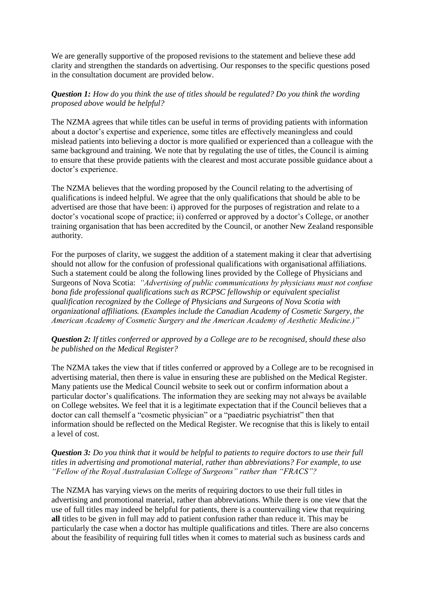We are generally supportive of the proposed revisions to the statement and believe these add clarity and strengthen the standards on advertising. Our responses to the specific questions posed in the consultation document are provided below.

## *Question 1: How do you think the use of titles should be regulated? Do you think the wording proposed above would be helpful?*

The NZMA agrees that while titles can be useful in terms of providing patients with information about a doctor's expertise and experience, some titles are effectively meaningless and could mislead patients into believing a doctor is more qualified or experienced than a colleague with the same background and training. We note that by regulating the use of titles, the Council is aiming to ensure that these provide patients with the clearest and most accurate possible guidance about a doctor's experience.

The NZMA believes that the wording proposed by the Council relating to the advertising of qualifications is indeed helpful. We agree that the only qualifications that should be able to be advertised are those that have been: i) approved for the purposes of registration and relate to a doctor's vocational scope of practice; ii) conferred or approved by a doctor's College, or another training organisation that has been accredited by the Council, or another New Zealand responsible authority.

For the purposes of clarity, we suggest the addition of a statement making it clear that advertising should not allow for the confusion of professional qualifications with organisational affiliations. Such a statement could be along the following lines provided by the College of Physicians and Surgeons of Nova Scotia: *"Advertising of public communications by physicians must not confuse bona fide professional qualifications such as RCPSC fellowship or equivalent specialist qualification recognized by the College of Physicians and Surgeons of Nova Scotia with organizational affiliations. (Examples include the Canadian Academy of Cosmetic Surgery, the American Academy of Cosmetic Surgery and the American Academy of Aesthetic Medicine.)"* 

## *Question 2: If titles conferred or approved by a College are to be recognised, should these also be published on the Medical Register?*

The NZMA takes the view that if titles conferred or approved by a College are to be recognised in advertising material, then there is value in ensuring these are published on the Medical Register. Many patients use the Medical Council website to seek out or confirm information about a particular doctor's qualifications. The information they are seeking may not always be available on College websites. We feel that it is a legitimate expectation that if the Council believes that a doctor can call themself a "cosmetic physician" or a "paediatric psychiatrist" then that information should be reflected on the Medical Register. We recognise that this is likely to entail a level of cost.

### *Question 3: Do you think that it would be helpful to patients to require doctors to use their full titles in advertising and promotional material, rather than abbreviations? For example, to use "Fellow of the Royal Australasian College of Surgeons" rather than "FRACS"?*

The NZMA has varying views on the merits of requiring doctors to use their full titles in advertising and promotional material, rather than abbreviations. While there is one view that the use of full titles may indeed be helpful for patients, there is a countervailing view that requiring **all** titles to be given in full may add to patient confusion rather than reduce it. This may be particularly the case when a doctor has multiple qualifications and titles. There are also concerns about the feasibility of requiring full titles when it comes to material such as business cards and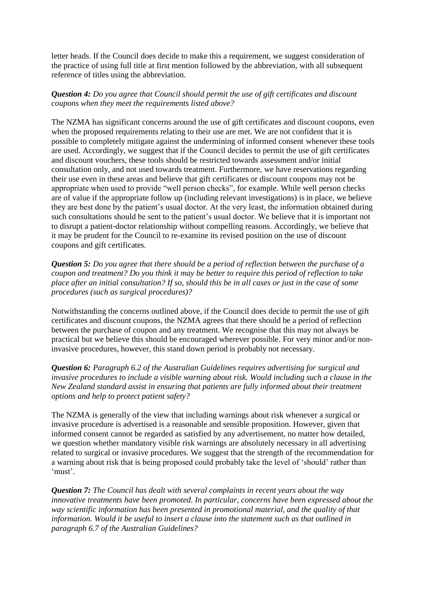letter heads. If the Council does decide to make this a requirement, we suggest consideration of the practice of using full title at first mention followed by the abbreviation, with all subsequent reference of titles using the abbreviation.

## *Question 4: Do you agree that Council should permit the use of gift certificates and discount coupons when they meet the requirements listed above?*

The NZMA has significant concerns around the use of gift certificates and discount coupons, even when the proposed requirements relating to their use are met. We are not confident that it is possible to completely mitigate against the undermining of informed consent whenever these tools are used. Accordingly, we suggest that if the Council decides to permit the use of gift certificates and discount vouchers, these tools should be restricted towards assessment and/or initial consultation only, and not used towards treatment. Furthermore, we have reservations regarding their use even in these areas and believe that gift certificates or discount coupons may not be appropriate when used to provide "well person checks", for example. While well person checks are of value if the appropriate follow up (including relevant investigations) is in place, we believe they are best done by the patient's usual doctor. At the very least, the information obtained during such consultations should be sent to the patient's usual doctor. We believe that it is important not to disrupt a patient-doctor relationship without compelling reasons. Accordingly, we believe that it may be prudent for the Council to re-examine its revised position on the use of discount coupons and gift certificates.

*Question 5: Do you agree that there should be a period of reflection between the purchase of a coupon and treatment? Do you think it may be better to require this period of reflection to take place after an initial consultation? If so, should this be in all cases or just in the case of some procedures (such as surgical procedures)?*

Notwithstanding the concerns outlined above, if the Council does decide to permit the use of gift certificates and discount coupons, the NZMA agrees that there should be a period of reflection between the purchase of coupon and any treatment. We recognise that this may not always be practical but we believe this should be encouraged wherever possible. For very minor and/or noninvasive procedures, however, this stand down period is probably not necessary.

*Question 6: Paragraph 6.2 of the Australian Guidelines requires advertising for surgical and invasive procedures to include a visible warning about risk. Would including such a clause in the New Zealand standard assist in ensuring that patients are fully informed about their treatment options and help to protect patient safety?*

The NZMA is generally of the view that including warnings about risk whenever a surgical or invasive procedure is advertised is a reasonable and sensible proposition. However, given that informed consent cannot be regarded as satisfied by any advertisement, no matter how detailed, we question whether mandatory visible risk warnings are absolutely necessary in all advertising related to surgical or invasive procedures. We suggest that the strength of the recommendation for a warning about risk that is being proposed could probably take the level of 'should' rather than 'must'.

*Question 7: The Council has dealt with several complaints in recent years about the way innovative treatments have been promoted. In particular, concerns have been expressed about the way scientific information has been presented in promotional material, and the quality of that information. Would it be useful to insert a clause into the statement such as that outlined in paragraph 6.7 of the Australian Guidelines?*